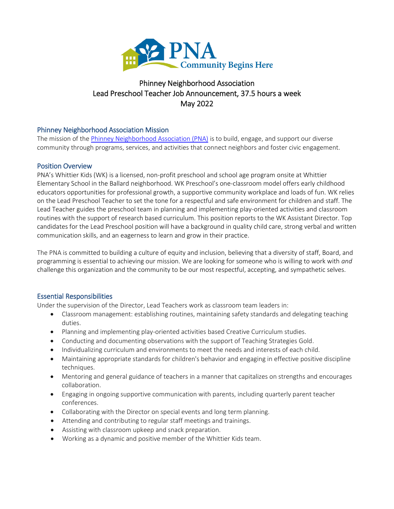

# Phinney Neighborhood Association Lead Preschool Teacher Job Announcement, 37.5 hours a week May 2022

# Phinney Neighborhood Association Mission

The mission of the [Phinney Neighborhood Association \(PNA\)](http://www.phinneycenter.org/) is to build, engage, and support our diverse community through programs, services, and activities that connect neighbors and foster civic engagement.

### Position Overview

PNA's Whittier Kids (WK) is a licensed, non-profit preschool and school age program onsite at Whittier Elementary School in the Ballard neighborhood. WK Preschool's one-classroom model offers early childhood educators opportunities for professional growth, a supportive community workplace and loads of fun. WK relies on the Lead Preschool Teacher to set the tone for a respectful and safe environment for children and staff. The Lead Teacher guides the preschool team in planning and implementing play-oriented activities and classroom routines with the support of research based curriculum. This position reports to the WK Assistant Director. Top candidates for the Lead Preschool position will have a background in quality child care, strong verbal and written communication skills, and an eagerness to learn and grow in their practice.

The PNA is committed to building a culture of equity and inclusion, believing that a diversity of staff, Board, and programming is essential to achieving our mission. We are looking for someone who is willing to work with *and* challenge this organization and the community to be our most respectful, accepting, and sympathetic selves.

#### Essential Responsibilities

Under the supervision of the Director, Lead Teachers work as classroom team leaders in:

- Classroom management: establishing routines, maintaining safety standards and delegating teaching duties.
- Planning and implementing play-oriented activities based Creative Curriculum studies.
- Conducting and documenting observations with the support of Teaching Strategies Gold.
- Individualizing curriculum and environments to meet the needs and interests of each child.
- Maintaining appropriate standards for children's behavior and engaging in effective positive discipline techniques.
- Mentoring and general guidance of teachers in a manner that capitalizes on strengths and encourages collaboration.
- Engaging in ongoing supportive communication with parents, including quarterly parent teacher conferences.
- Collaborating with the Director on special events and long term planning.
- Attending and contributing to regular staff meetings and trainings.
- Assisting with classroom upkeep and snack preparation.
- Working as a dynamic and positive member of the Whittier Kids team.